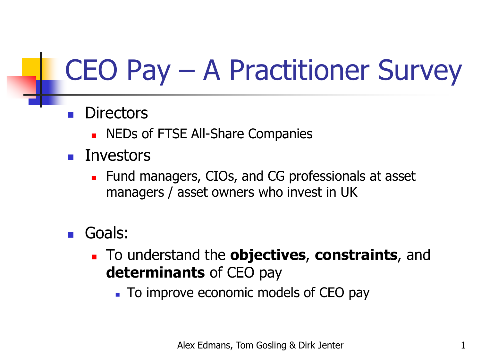## CEO Pay – A Practitioner Survey

- **Directors** 
	- NEDs of FTSE All-Share Companies
- Investors
	- Fund managers, CIOs, and CG professionals at asset managers / asset owners who invest in UK
- Goals:
	- <sup>◼</sup> To understand the **objectives**, **constraints**, and **determinants** of CEO pay
		- To improve economic models of CEO pay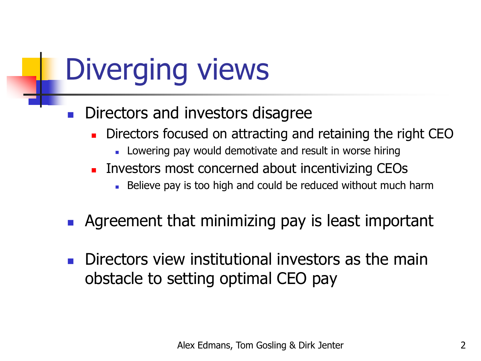## Diverging views

- Directors and investors disagree
	- Directors focused on attracting and retaining the right CEO
		- Lowering pay would demotivate and result in worse hiring
	- Investors most concerned about incentivizing CEOs
		- Believe pay is too high and could be reduced without much harm
- Agreement that minimizing pay is least important
- Directors view institutional investors as the main obstacle to setting optimal CEO pay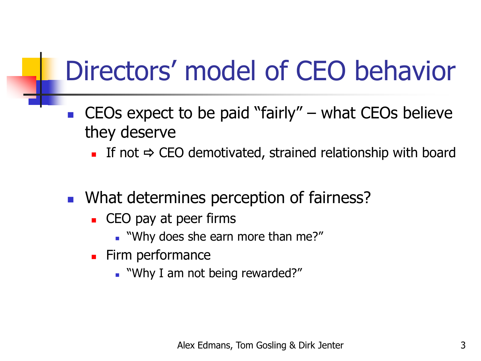## Directors' model of CEO behavior

■ CEOs expect to be paid "fairly"  $-$  what CEOs believe they deserve

 $\blacksquare$  If not  $\Rightarrow$  CEO demotivated, strained relationship with board

- What determines perception of fairness?
	- CEO pay at peer firms
		- "Why does she earn more than me?"
	- Firm performance
		- "Why I am not being rewarded?"